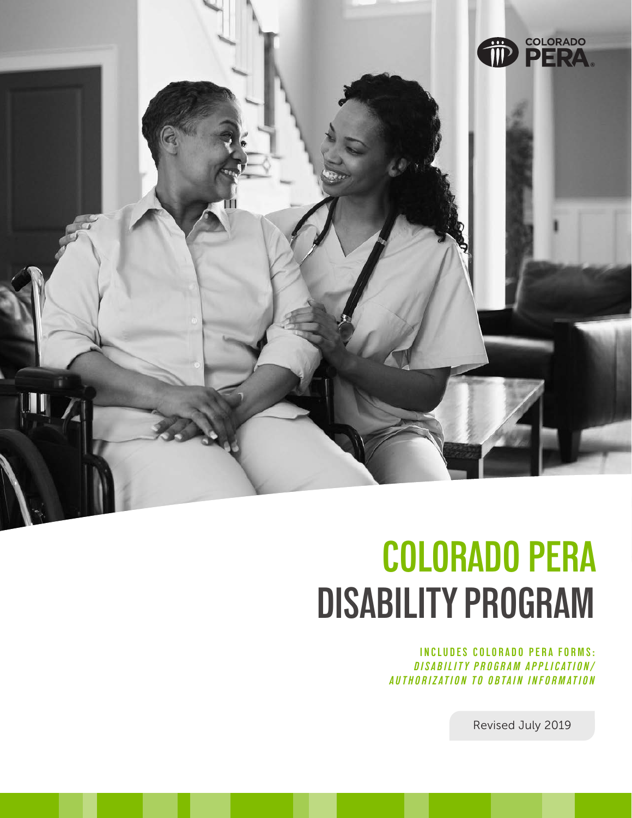

# **COLORADO PERA DISABILITY PROGRAM**

**INCLUDES COLORADO PERA FORMS:** *DISABILITY PROGRAM APPLICATION/ AUTHORIZATION TO OBTAIN INFORMATION*

Revised July 2019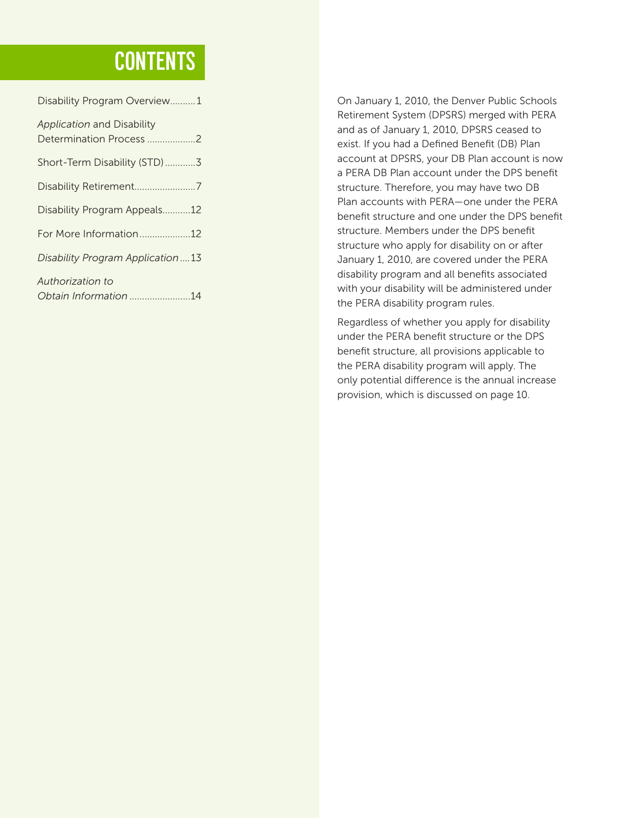## **CONTENTS**

| Disability Program Overview1                          |  |
|-------------------------------------------------------|--|
| Application and Disability<br>Determination Process 2 |  |
| Short-Term Disability (STD)3                          |  |
| Disability Retirement7                                |  |
| Disability Program Appeals12                          |  |
| For More Information12                                |  |
| Disability Program Application 13                     |  |
| Authorization to<br>Obtain Information 14             |  |
|                                                       |  |

On January 1, 2010, the Denver Public Schools Retirement System (DPSRS) merged with PERA and as of January 1, 2010, DPSRS ceased to exist. If you had a Defined Benefit (DB) Plan account at DPSRS, your DB Plan account is now a PERA DB Plan account under the DPS benefit structure. Therefore, you may have two DB Plan accounts with PERA—one under the PERA benefit structure and one under the DPS benefit structure. Members under the DPS benefit structure who apply for disability on or after January 1, 2010, are covered under the PERA disability program and all benefits associated with your disability will be administered under the PERA disability program rules.

Regardless of whether you apply for disability under the PERA benefit structure or the DPS benefit structure, all provisions applicable to the PERA disability program will apply. The only potential difference is the annual increase provision, which is discussed on page 10.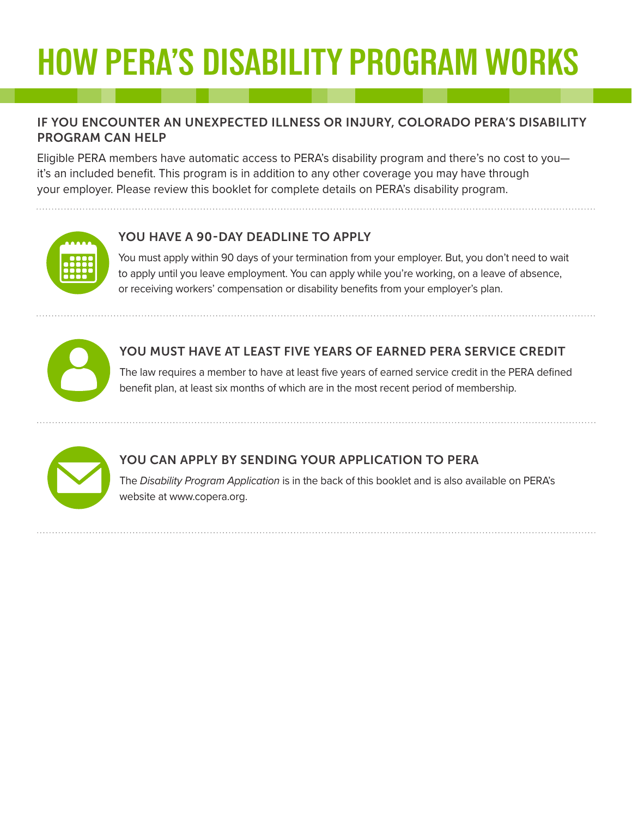# **HOW PERA'S DISABILITY PROGRAM WORKS**

### IF YOU ENCOUNTER AN UNEXPECTED ILLNESS OR INJURY, COLORADO PERA'S DISABILITY PROGRAM CAN HELP

Eligible PERA members have automatic access to PERA's disability program and there's no cost to you it's an included benefit. This program is in addition to any other coverage you may have through your employer. Please review this booklet for complete details on PERA's disability program.



## YOU HAVE A 90-DAY DEADLINE TO APPLY

You must apply within 90 days of your termination from your employer. But, you don't need to wait to apply until you leave employment. You can apply while you're working, on a leave of absence, or receiving workers' compensation or disability benefits from your employer's plan.



## YOU MUST HAVE AT LEAST FIVE YEARS OF EARNED PERA SERVICE CREDIT

The law requires a member to have at least five years of earned service credit in the PERA defined benefit plan, at least six months of which are in the most recent period of membership.



## YOU CAN APPLY BY SENDING YOUR APPLICATION TO PERA

The *Disability Program Application* is in the back of this booklet and is also available on PERA's website at www.copera.org.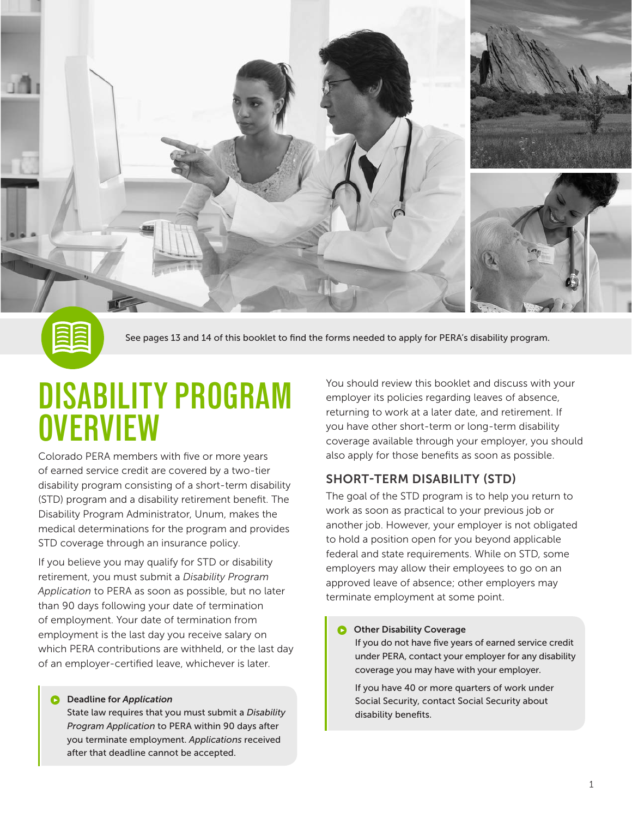



See pages 13 and 14 of this booklet to find the forms needed to apply for PERA's disability program.

## **DISABILITY PROGRAM OVERVIEW**

Colorado PERA members with five or more years of earned service credit are covered by a two-tier disability program consisting of a short-term disability (STD) program and a disability retirement benefit. The Disability Program Administrator, Unum, makes the medical determinations for the program and provides STD coverage through an insurance policy.

If you believe you may qualify for STD or disability retirement, you must submit a *Disability Program Application* to PERA as soon as possible, but no later than 90 days following your date of termination of employment. Your date of termination from employment is the last day you receive salary on which PERA contributions are withheld, or the last day of an employer-certified leave, whichever is later.

#### Deadline for *Application*

State law requires that you must submit a *Disability Program Application* to PERA within 90 days after you terminate employment. *Applications* received after that deadline cannot be accepted.

You should review this booklet and discuss with your employer its policies regarding leaves of absence, returning to work at a later date, and retirement. If you have other short-term or long-term disability coverage available through your employer, you should also apply for those benefits as soon as possible.

### SHORT-TERM DISABILITY (STD)

The goal of the STD program is to help you return to work as soon as practical to your previous job or another job. However, your employer is not obligated to hold a position open for you beyond applicable federal and state requirements. While on STD, some employers may allow their employees to go on an approved leave of absence; other employers may terminate employment at some point.

#### Other Disability Coverage

 If you do not have five years of earned service credit under PERA, contact your employer for any disability coverage you may have with your employer.

 If you have 40 or more quarters of work under Social Security, contact Social Security about disability benefits.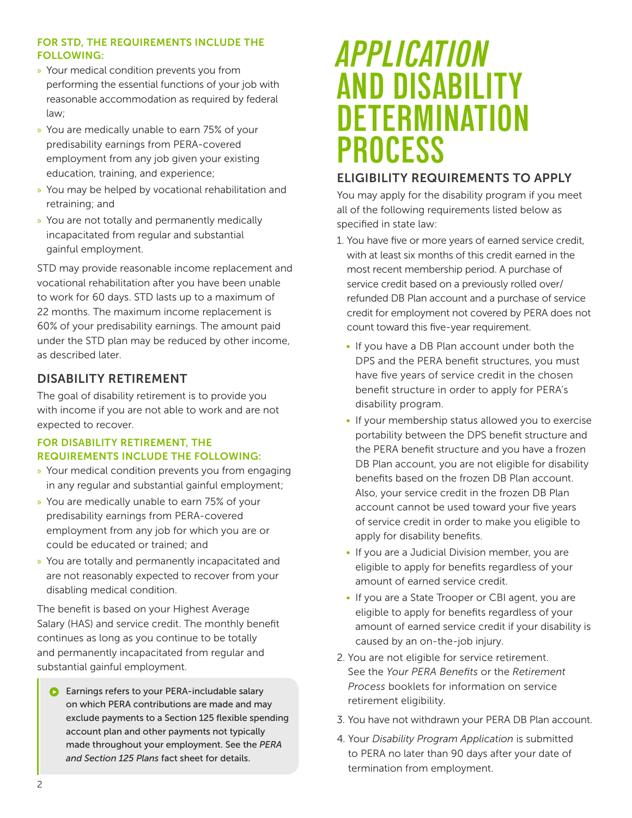### FOR STD, THE REQUIREMENTS INCLUDE THE FOLLOWING:

- » Your medical condition prevents you from performing the essential functions of your job with reasonable accommodation as required by federal law;
- » You are medically unable to earn 75% of your predisability earnings from PERA-covered employment from any job given your existing education, training, and experience;
- » You may be helped by vocational rehabilitation and retraining; and
- » You are not totally and permanently medically incapacitated from regular and substantial gainful employment.

STD may provide reasonable income replacement and vocational rehabilitation after you have been unable to work for 60 days. STD lasts up to a maximum of 22 months. The maximum income replacement is 60% of your predisability earnings. The amount paid under the STD plan may be reduced by other income, as described later.

## DISABILITY RETIREMENT

The goal of disability retirement is to provide you with income if you are not able to work and are not expected to recover.

### FOR DISABILITY RETIREMENT, THE REQUIREMENTS INCLUDE THE FOLLOWING:

- » Your medical condition prevents you from engaging in any regular and substantial gainful employment;
- » You are medically unable to earn 75% of your predisability earnings from PERA-covered employment from any job for which you are or could be educated or trained; and
- » You are totally and permanently incapacitated and are not reasonably expected to recover from your disabling medical condition.

The benefit is based on your Highest Average Salary (HAS) and service credit. The monthly benefit continues as long as you continue to be totally and permanently incapacitated from regular and substantial gainful employment.

**C** Earnings refers to your PERA-includable salary on which PERA contributions are made and may exclude payments to a Section 125 flexible spending account plan and other payments not typically made throughout your employment. See the *PERA and Section 125 Plans* fact sheet for details.

## *APPLICATION* **AND DISABILITY DETERMINATION PROCESS**

### ELIGIBILITY REQUIREMENTS TO APPLY

You may apply for the disability program if you meet all of the following requirements listed below as specified in state law:

- 1. You have five or more years of earned service credit, with at least six months of this credit earned in the most recent membership period. A purchase of service credit based on a previously rolled over/ refunded DB Plan account and a purchase of service credit for employment not covered by PERA does not count toward this five-year requirement.
	- If you have a DB Plan account under both the DPS and the PERA benefit structures, you must have five years of service credit in the chosen benefit structure in order to apply for PERA's disability program.
	- If your membership status allowed you to exercise portability between the DPS benefit structure and the PERA benefit structure and you have a frozen DB Plan account, you are not eligible for disability benefits based on the frozen DB Plan account. Also, your service credit in the frozen DB Plan account cannot be used toward your five years of service credit in order to make you eligible to apply for disability benefits.
	- If you are a Judicial Division member, you are eligible to apply for benefits regardless of your amount of earned service credit.
	- If you are a State Trooper or CBI agent, you are eligible to apply for benefits regardless of your amount of earned service credit if your disability is caused by an on-the-job injury.
- 2. You are not eligible for service retirement. See the *Your PERA Benefits* or the *Retirement Process* booklets for information on service retirement eligibility.
- 3. You have not withdrawn your PERA DB Plan account.
- 4. Your *Disability Program Application* is submitted to PERA no later than 90 days after your date of termination from employment.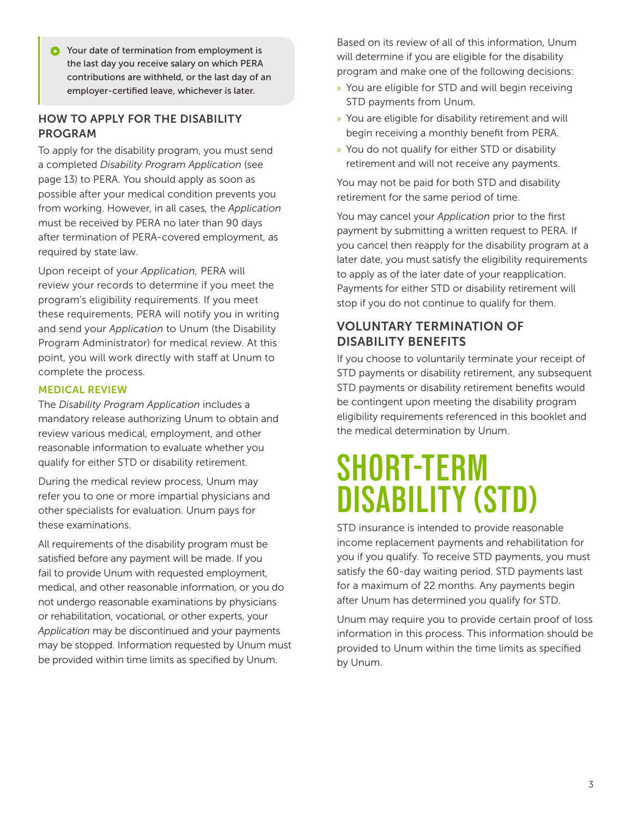Your date of termination from employment is Ω the last day you receive salary on which PERA contributions are withheld, or the last day of an employer-certified leave, whichever is later.

### HOW TO APPLY FOR THE DISABILITY PROGRAM

To apply for the disability program, you must send a completed *Disability Program Application* (see page 13) to PERA. You should apply as soon as possible after your medical condition prevents you from working. However, in all cases, the *Application* must be received by PERA no later than 90 days after termination of PERA-covered employment, as required by state law.

Upon receipt of your *Application,* PERA will review your records to determine if you meet the program's eligibility requirements. If you meet these requirements, PERA will notify you in writing and send your *Application* to Unum (the Disability Program Administrator) for medical review. At this point, you will work directly with staff at Unum to complete the process.

### MEDICAL REVIEW

The *Disability Program Application* includes a mandatory release authorizing Unum to obtain and review various medical, employment, and other reasonable information to evaluate whether you qualify for either STD or disability retirement.

During the medical review process, Unum may refer you to one or more impartial physicians and other specialists for evaluation. Unum pays for these examinations.

All requirements of the disability program must be satisfied before any payment will be made. If you fail to provide Unum with requested employment, medical, and other reasonable information, or you do not undergo reasonable examinations by physicians or rehabilitation, vocational, or other experts, your *Application* may be discontinued and your payments may be stopped. Information requested by Unum must be provided within time limits as specified by Unum.

Based on its review of all of this information, Unum will determine if you are eligible for the disability program and make one of the following decisions:

- » You are eligible for STD and will begin receiving STD payments from Unum.
- » You are eligible for disability retirement and will begin receiving a monthly benefit from PERA.
- » You do not qualify for either STD or disability retirement and will not receive any payments.

You may not be paid for both STD and disability retirement for the same period of time.

You may cancel your *Application* prior to the first payment by submitting a written request to PERA. If you cancel then reapply for the disability program at a later date, you must satisfy the eligibility requirements to apply as of the later date of your reapplication. Payments for either STD or disability retirement will stop if you do not continue to qualify for them.

### VOLUNTARY TERMINATION OF DISABILITY BENEFITS

If you choose to voluntarily terminate your receipt of STD payments or disability retirement, any subsequent STD payments or disability retirement benefits would be contingent upon meeting the disability program eligibility requirements referenced in this booklet and the medical determination by Unum.

## **SHORT-TERM DISABILITY (STD)**

STD insurance is intended to provide reasonable income replacement payments and rehabilitation for you if you qualify. To receive STD payments, you must satisfy the 60-day waiting period. STD payments last for a maximum of 22 months. Any payments begin after Unum has determined you qualify for STD.

Unum may require you to provide certain proof of loss information in this process. This information should be provided to Unum within the time limits as specified by Unum.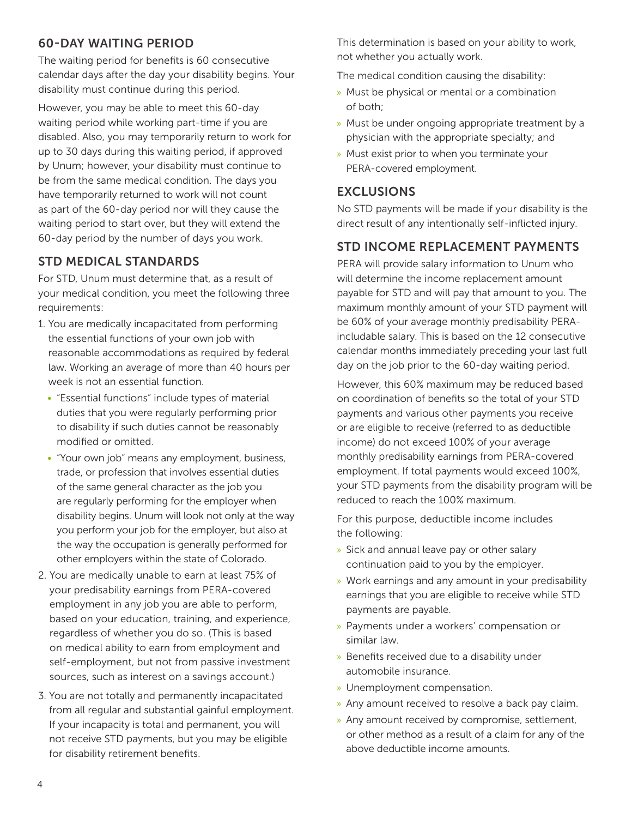### 60-DAY WAITING PERIOD

The waiting period for benefits is 60 consecutive calendar days after the day your disability begins. Your disability must continue during this period.

However, you may be able to meet this 60-day waiting period while working part-time if you are disabled. Also, you may temporarily return to work for up to 30 days during this waiting period, if approved by Unum; however, your disability must continue to be from the same medical condition. The days you have temporarily returned to work will not count as part of the 60-day period nor will they cause the waiting period to start over, but they will extend the 60-day period by the number of days you work.

## STD MEDICAL STANDARDS

For STD, Unum must determine that, as a result of your medical condition, you meet the following three requirements:

- 1. You are medically incapacitated from performing the essential functions of your own job with reasonable accommodations as required by federal law. Working an average of more than 40 hours per week is not an essential function.
	- "Essential functions" include types of material duties that you were regularly performing prior to disability if such duties cannot be reasonably modified or omitted.
	- "Your own job" means any employment, business, trade, or profession that involves essential duties of the same general character as the job you are regularly performing for the employer when disability begins. Unum will look not only at the way you perform your job for the employer, but also at the way the occupation is generally performed for other employers within the state of Colorado.
- 2. You are medically unable to earn at least 75% of your predisability earnings from PERA-covered employment in any job you are able to perform, based on your education, training, and experience, regardless of whether you do so. (This is based on medical ability to earn from employment and self-employment, but not from passive investment sources, such as interest on a savings account.)
- 3. You are not totally and permanently incapacitated from all regular and substantial gainful employment. If your incapacity is total and permanent, you will not receive STD payments, but you may be eligible for disability retirement benefits.

This determination is based on your ability to work, not whether you actually work.

The medical condition causing the disability:

- » Must be physical or mental or a combination of both;
- » Must be under ongoing appropriate treatment by a physician with the appropriate specialty; and
- » Must exist prior to when you terminate your PERA-covered employment.

### EXCLUSIONS

No STD payments will be made if your disability is the direct result of any intentionally self-inflicted injury.

## STD INCOME REPLACEMENT PAYMENTS

PERA will provide salary information to Unum who will determine the income replacement amount payable for STD and will pay that amount to you. The maximum monthly amount of your STD payment will be 60% of your average monthly predisability PERAincludable salary. This is based on the 12 consecutive calendar months immediately preceding your last full day on the job prior to the 60-day waiting period.

However, this 60% maximum may be reduced based on coordination of benefits so the total of your STD payments and various other payments you receive or are eligible to receive (referred to as deductible income) do not exceed 100% of your average monthly predisability earnings from PERA-covered employment. If total payments would exceed 100%, your STD payments from the disability program will be reduced to reach the 100% maximum.

For this purpose, deductible income includes the following:

- » Sick and annual leave pay or other salary continuation paid to you by the employer.
- » Work earnings and any amount in your predisability earnings that you are eligible to receive while STD payments are payable.
- » Payments under a workers' compensation or similar law.
- » Benefits received due to a disability under automobile insurance.
- » Unemployment compensation.
- » Any amount received to resolve a back pay claim.
- » Any amount received by compromise, settlement, or other method as a result of a claim for any of the above deductible income amounts.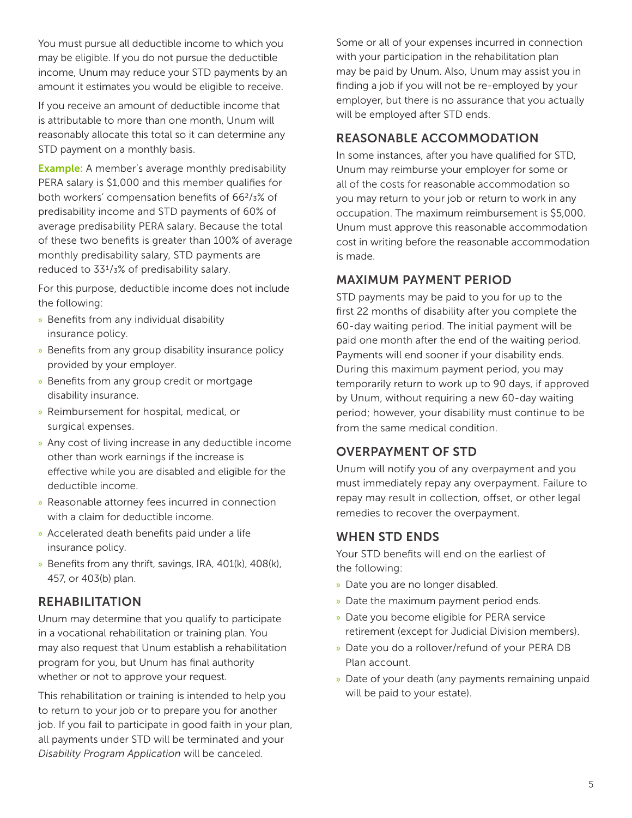You must pursue all deductible income to which you may be eligible. If you do not pursue the deductible income, Unum may reduce your STD payments by an amount it estimates you would be eligible to receive.

If you receive an amount of deductible income that is attributable to more than one month, Unum will reasonably allocate this total so it can determine any STD payment on a monthly basis.

**Example:** A member's average monthly predisability PERA salary is \$1,000 and this member qualifies for both workers' compensation benefits of 662/3% of predisability income and STD payments of 60% of average predisability PERA salary. Because the total of these two benefits is greater than 100% of average monthly predisability salary, STD payments are reduced to 331/3% of predisability salary.

For this purpose, deductible income does not include the following:

- » Benefits from any individual disability insurance policy.
- » Benefits from any group disability insurance policy provided by your employer.
- » Benefits from any group credit or mortgage disability insurance.
- » Reimbursement for hospital, medical, or surgical expenses.
- » Any cost of living increase in any deductible income other than work earnings if the increase is effective while you are disabled and eligible for the deductible income.
- » Reasonable attorney fees incurred in connection with a claim for deductible income.
- » Accelerated death benefits paid under a life insurance policy.
- » Benefits from any thrift, savings, IRA, 401(k), 408(k), 457, or 403(b) plan.

### REHABILITATION

Unum may determine that you qualify to participate in a vocational rehabilitation or training plan. You may also request that Unum establish a rehabilitation program for you, but Unum has final authority whether or not to approve your request.

This rehabilitation or training is intended to help you to return to your job or to prepare you for another job. If you fail to participate in good faith in your plan, all payments under STD will be terminated and your *Disability Program Application* will be canceled.

Some or all of your expenses incurred in connection with your participation in the rehabilitation plan may be paid by Unum. Also, Unum may assist you in finding a job if you will not be re-employed by your employer, but there is no assurance that you actually will be employed after STD ends.

### REASONABLE ACCOMMODATION

In some instances, after you have qualified for STD, Unum may reimburse your employer for some or all of the costs for reasonable accommodation so you may return to your job or return to work in any occupation. The maximum reimbursement is \$5,000. Unum must approve this reasonable accommodation cost in writing before the reasonable accommodation is made.

### MAXIMUM PAYMENT PERIOD

STD payments may be paid to you for up to the first 22 months of disability after you complete the 60-day waiting period. The initial payment will be paid one month after the end of the waiting period. Payments will end sooner if your disability ends. During this maximum payment period, you may temporarily return to work up to 90 days, if approved by Unum, without requiring a new 60-day waiting period; however, your disability must continue to be from the same medical condition.

### OVERPAYMENT OF STD

Unum will notify you of any overpayment and you must immediately repay any overpayment. Failure to repay may result in collection, offset, or other legal remedies to recover the overpayment.

### WHEN STD ENDS

Your STD benefits will end on the earliest of the following:

- » Date you are no longer disabled.
- » Date the maximum payment period ends.
- » Date you become eligible for PERA service retirement (except for Judicial Division members).
- » Date you do a rollover/refund of your PERA DB Plan account.
- » Date of your death (any payments remaining unpaid will be paid to your estate).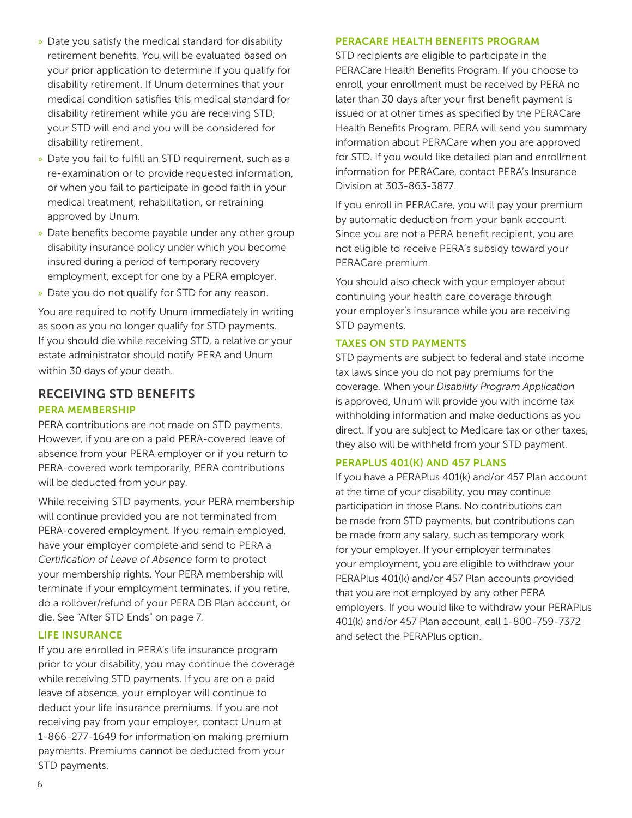- » Date you satisfy the medical standard for disability retirement benefits. You will be evaluated based on your prior application to determine if you qualify for disability retirement. If Unum determines that your medical condition satisfies this medical standard for disability retirement while you are receiving STD, your STD will end and you will be considered for disability retirement.
- » Date you fail to fulfill an STD requirement, such as a re-examination or to provide requested information, or when you fail to participate in good faith in your medical treatment, rehabilitation, or retraining approved by Unum.
- » Date benefits become payable under any other group disability insurance policy under which you become insured during a period of temporary recovery employment, except for one by a PERA employer.
- » Date you do not qualify for STD for any reason.

You are required to notify Unum immediately in writing as soon as you no longer qualify for STD payments. If you should die while receiving STD, a relative or your estate administrator should notify PERA and Unum within 30 days of your death.

### RECEIVING STD BENEFITS PERA MEMBERSHIP

PERA contributions are not made on STD payments. However, if you are on a paid PERA-covered leave of absence from your PERA employer or if you return to PERA-covered work temporarily, PERA contributions will be deducted from your pay.

While receiving STD payments, your PERA membership will continue provided you are not terminated from PERA-covered employment. If you remain employed, have your employer complete and send to PERA a *Certification of Leave of Absence* form to protect your membership rights. Your PERA membership will terminate if your employment terminates, if you retire, do a rollover/refund of your PERA DB Plan account, or die. See "After STD Ends" on page 7.

### LIFE INSURANCE

If you are enrolled in PERA's life insurance program prior to your disability, you may continue the coverage while receiving STD payments. If you are on a paid leave of absence, your employer will continue to deduct your life insurance premiums. If you are not receiving pay from your employer, contact Unum at 1-866-277-1649 for information on making premium payments. Premiums cannot be deducted from your STD payments.

#### PERACARE HEALTH BENEFITS PROGRAM

STD recipients are eligible to participate in the PERACare Health Benefits Program. If you choose to enroll, your enrollment must be received by PERA no later than 30 days after your first benefit payment is issued or at other times as specified by the PERACare Health Benefits Program. PERA will send you summary information about PERACare when you are approved for STD. If you would like detailed plan and enrollment information for PERACare, contact PERA's Insurance Division at 303-863-3877.

If you enroll in PERACare, you will pay your premium by automatic deduction from your bank account. Since you are not a PERA benefit recipient, you are not eligible to receive PERA's subsidy toward your PERACare premium.

You should also check with your employer about continuing your health care coverage through your employer's insurance while you are receiving STD payments.

### TAXES ON STD PAYMENTS

STD payments are subject to federal and state income tax laws since you do not pay premiums for the coverage. When your *Disability Program Application* is approved, Unum will provide you with income tax withholding information and make deductions as you direct. If you are subject to Medicare tax or other taxes, they also will be withheld from your STD payment.

### PERAPLUS 401(K) AND 457 PLANS

If you have a PERAPlus 401(k) and/or 457 Plan account at the time of your disability, you may continue participation in those Plans. No contributions can be made from STD payments, but contributions can be made from any salary, such as temporary work for your employer. If your employer terminates your employment, you are eligible to withdraw your PERAPlus 401(k) and/or 457 Plan accounts provided that you are not employed by any other PERA employers. If you would like to withdraw your PERAPlus 401(k) and/or 457 Plan account, call 1-800-759-7372 and select the PERAPlus option.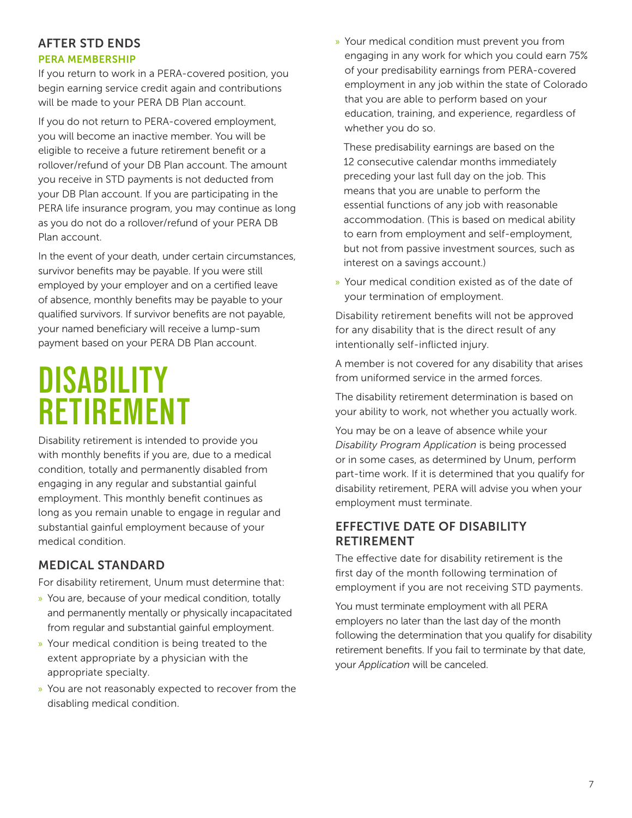### AFTER STD ENDS

### PERA MEMBERSHIP

If you return to work in a PERA-covered position, you begin earning service credit again and contributions will be made to your PERA DB Plan account.

If you do not return to PERA-covered employment, you will become an inactive member. You will be eligible to receive a future retirement benefit or a rollover/refund of your DB Plan account. The amount you receive in STD payments is not deducted from your DB Plan account. If you are participating in the PERA life insurance program, you may continue as long as you do not do a rollover/refund of your PERA DB Plan account.

In the event of your death, under certain circumstances, survivor benefits may be payable. If you were still employed by your employer and on a certified leave of absence, monthly benefits may be payable to your qualified survivors. If survivor benefits are not payable, your named beneficiary will receive a lump-sum payment based on your PERA DB Plan account.

## **DISABILITY RETIREMENT**

Disability retirement is intended to provide you with monthly benefits if you are, due to a medical condition, totally and permanently disabled from engaging in any regular and substantial gainful employment. This monthly benefit continues as long as you remain unable to engage in regular and substantial gainful employment because of your medical condition.

### MEDICAL STANDARD

For disability retirement, Unum must determine that:

- » You are, because of your medical condition, totally and permanently mentally or physically incapacitated from regular and substantial gainful employment.
- » Your medical condition is being treated to the extent appropriate by a physician with the appropriate specialty.
- » You are not reasonably expected to recover from the disabling medical condition.

» Your medical condition must prevent you from engaging in any work for which you could earn 75% of your predisability earnings from PERA-covered employment in any job within the state of Colorado that you are able to perform based on your education, training, and experience, regardless of whether you do so.

 These predisability earnings are based on the 12 consecutive calendar months immediately preceding your last full day on the job. This means that you are unable to perform the essential functions of any job with reasonable accommodation. (This is based on medical ability to earn from employment and self-employment, but not from passive investment sources, such as interest on a savings account.)

» Your medical condition existed as of the date of your termination of employment.

Disability retirement benefits will not be approved for any disability that is the direct result of any intentionally self-inflicted injury.

A member is not covered for any disability that arises from uniformed service in the armed forces.

The disability retirement determination is based on your ability to work, not whether you actually work.

You may be on a leave of absence while your *Disability Program Application* is being processed or in some cases, as determined by Unum, perform part-time work. If it is determined that you qualify for disability retirement, PERA will advise you when your employment must terminate.

### EFFECTIVE DATE OF DISABILITY RETIREMENT

The effective date for disability retirement is the first day of the month following termination of employment if you are not receiving STD payments.

You must terminate employment with all PERA employers no later than the last day of the month following the determination that you qualify for disability retirement benefits. If you fail to terminate by that date, your *Application* will be canceled.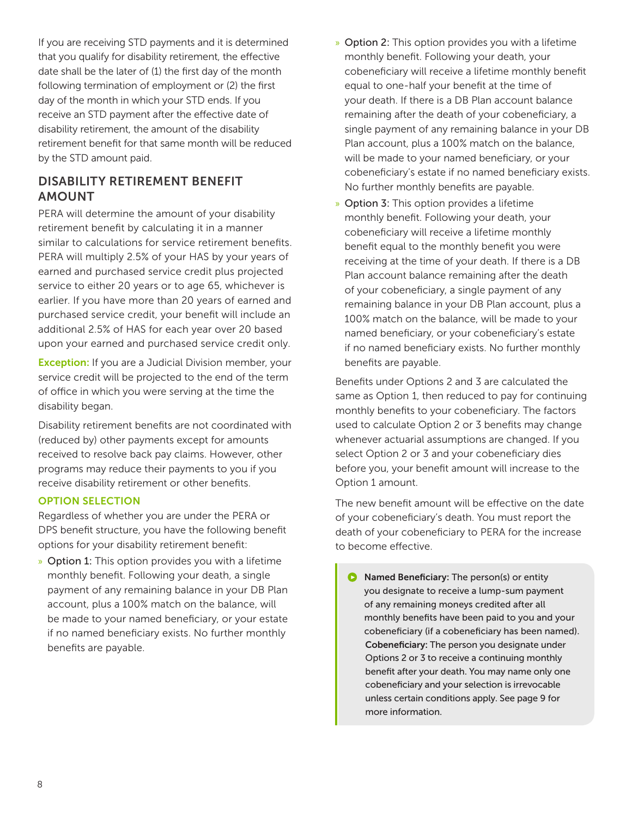If you are receiving STD payments and it is determined that you qualify for disability retirement, the effective date shall be the later of (1) the first day of the month following termination of employment or (2) the first day of the month in which your STD ends. If you receive an STD payment after the effective date of disability retirement, the amount of the disability retirement benefit for that same month will be reduced by the STD amount paid.

### DISABILITY RETIREMENT BENEFIT AMOUNT

PERA will determine the amount of your disability retirement benefit by calculating it in a manner similar to calculations for service retirement benefits. PERA will multiply 2.5% of your HAS by your years of earned and purchased service credit plus projected service to either 20 years or to age 65, whichever is earlier. If you have more than 20 years of earned and purchased service credit, your benefit will include an additional 2.5% of HAS for each year over 20 based upon your earned and purchased service credit only.

**Exception:** If you are a Judicial Division member, your service credit will be projected to the end of the term of office in which you were serving at the time the disability began.

Disability retirement benefits are not coordinated with (reduced by) other payments except for amounts received to resolve back pay claims. However, other programs may reduce their payments to you if you receive disability retirement or other benefits.

### OPTION SELECTION

Regardless of whether you are under the PERA or DPS benefit structure, you have the following benefit options for your disability retirement benefit:

» Option 1: This option provides you with a lifetime monthly benefit. Following your death, a single payment of any remaining balance in your DB Plan account, plus a 100% match on the balance, will be made to your named beneficiary, or your estate if no named beneficiary exists. No further monthly benefits are payable.

- » Option 2: This option provides you with a lifetime monthly benefit. Following your death, your cobeneficiary will receive a lifetime monthly benefit equal to one-half your benefit at the time of your death. If there is a DB Plan account balance remaining after the death of your cobeneficiary, a single payment of any remaining balance in your DB Plan account, plus a 100% match on the balance, will be made to your named beneficiary, or your cobeneficiary's estate if no named beneficiary exists. No further monthly benefits are payable.
- » Option 3: This option provides a lifetime monthly benefit. Following your death, your cobeneficiary will receive a lifetime monthly benefit equal to the monthly benefit you were receiving at the time of your death. If there is a DB Plan account balance remaining after the death of your cobeneficiary, a single payment of any remaining balance in your DB Plan account, plus a 100% match on the balance, will be made to your named beneficiary, or your cobeneficiary's estate if no named beneficiary exists. No further monthly benefits are payable.

Benefits under Options 2 and 3 are calculated the same as Option 1, then reduced to pay for continuing monthly benefits to your cobeneficiary. The factors used to calculate Option 2 or 3 benefits may change whenever actuarial assumptions are changed. If you select Option 2 or 3 and your cobeneficiary dies before you, your benefit amount will increase to the Option 1 amount.

The new benefit amount will be effective on the date of your cobeneficiary's death. You must report the death of your cobeneficiary to PERA for the increase to become effective.

 $\bullet$ Named Beneficiary: The person(s) or entity you designate to receive a lump-sum payment of any remaining moneys credited after all monthly benefits have been paid to you and your cobeneficiary (if a cobeneficiary has been named). Cobeneficiary: The person you designate under Options 2 or 3 to receive a continuing monthly benefit after your death. You may name only one cobeneficiary and your selection is irrevocable unless certain conditions apply. See page 9 for more information.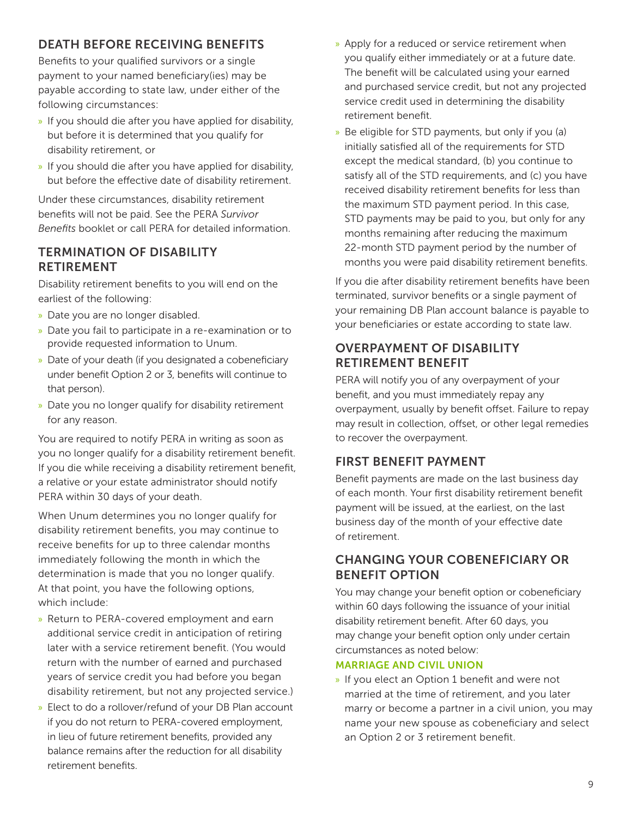## DEATH BEFORE RECEIVING BENEFITS

Benefits to your qualified survivors or a single payment to your named beneficiary(ies) may be payable according to state law, under either of the following circumstances:

- » If you should die after you have applied for disability, but before it is determined that you qualify for disability retirement, or
- » If you should die after you have applied for disability, but before the effective date of disability retirement.

Under these circumstances, disability retirement benefits will not be paid. See the PERA *Survivor Benefits* booklet or call PERA for detailed information.

### TERMINATION OF DISABILITY RETIREMENT

Disability retirement benefits to you will end on the earliest of the following:

- » Date you are no longer disabled.
- » Date you fail to participate in a re-examination or to provide requested information to Unum.
- » Date of your death (if you designated a cobeneficiary under benefit Option 2 or 3, benefits will continue to that person).
- » Date you no longer qualify for disability retirement for any reason.

You are required to notify PERA in writing as soon as you no longer qualify for a disability retirement benefit. If you die while receiving a disability retirement benefit, a relative or your estate administrator should notify PERA within 30 days of your death.

When Unum determines you no longer qualify for disability retirement benefits, you may continue to receive benefits for up to three calendar months immediately following the month in which the determination is made that you no longer qualify. At that point, you have the following options, which include:

- » Return to PERA-covered employment and earn additional service credit in anticipation of retiring later with a service retirement benefit. (You would return with the number of earned and purchased years of service credit you had before you began disability retirement, but not any projected service.)
- » Elect to do a rollover/refund of your DB Plan account if you do not return to PERA-covered employment, in lieu of future retirement benefits, provided any balance remains after the reduction for all disability retirement benefits.
- » Apply for a reduced or service retirement when you qualify either immediately or at a future date. The benefit will be calculated using your earned and purchased service credit, but not any projected service credit used in determining the disability retirement benefit.
- » Be eligible for STD payments, but only if you (a) initially satisfied all of the requirements for STD except the medical standard, (b) you continue to satisfy all of the STD requirements, and (c) you have received disability retirement benefits for less than the maximum STD payment period. In this case, STD payments may be paid to you, but only for any months remaining after reducing the maximum 22-month STD payment period by the number of months you were paid disability retirement benefits.

If you die after disability retirement benefits have been terminated, survivor benefits or a single payment of your remaining DB Plan account balance is payable to your beneficiaries or estate according to state law.

### OVERPAYMENT OF DISABILITY RETIREMENT BENEFIT

PERA will notify you of any overpayment of your benefit, and you must immediately repay any overpayment, usually by benefit offset. Failure to repay may result in collection, offset, or other legal remedies to recover the overpayment.

### FIRST BENEFIT PAYMENT

Benefit payments are made on the last business day of each month. Your first disability retirement benefit payment will be issued, at the earliest, on the last business day of the month of your effective date of retirement.

### CHANGING YOUR COBENEFICIARY OR BENEFIT OPTION

You may change your benefit option or cobeneficiary within 60 days following the issuance of your initial disability retirement benefit. After 60 days, you may change your benefit option only under certain circumstances as noted below:

### MARRIAGE AND CIVIL UNION

» If you elect an Option 1 benefit and were not married at the time of retirement, and you later marry or become a partner in a civil union, you may name your new spouse as cobeneficiary and select an Option 2 or 3 retirement benefit.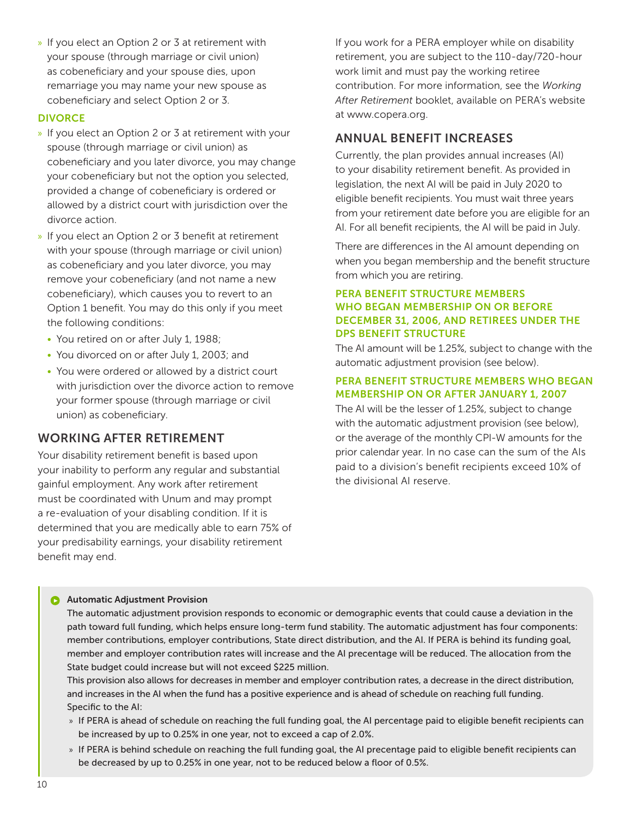» If you elect an Option 2 or 3 at retirement with your spouse (through marriage or civil union) as cobeneficiary and your spouse dies, upon remarriage you may name your new spouse as cobeneficiary and select Option 2 or 3.

### **DIVORCE**

- » If you elect an Option 2 or 3 at retirement with your spouse (through marriage or civil union) as cobeneficiary and you later divorce, you may change your cobeneficiary but not the option you selected, provided a change of cobeneficiary is ordered or allowed by a district court with jurisdiction over the divorce action.
- » If you elect an Option 2 or 3 benefit at retirement with your spouse (through marriage or civil union) as cobeneficiary and you later divorce, you may remove your cobeneficiary (and not name a new cobeneficiary), which causes you to revert to an Option 1 benefit. You may do this only if you meet the following conditions:
	- You retired on or after July 1, 1988;
	- You divorced on or after July 1, 2003; and
	- You were ordered or allowed by a district court with jurisdiction over the divorce action to remove your former spouse (through marriage or civil union) as cobeneficiary.

### WORKING AFTER RETIREMENT

Your disability retirement benefit is based upon your inability to perform any regular and substantial gainful employment. Any work after retirement must be coordinated with Unum and may prompt a re-evaluation of your disabling condition. If it is determined that you are medically able to earn 75% of your predisability earnings, your disability retirement benefit may end.

If you work for a PERA employer while on disability retirement, you are subject to the 110-day/720-hour work limit and must pay the working retiree contribution. For more information, see the *Working After Retirement* booklet, available on PERA's website at www.copera.org.

### ANNUAL BENEFIT INCREASES

Currently, the plan provides annual increases (AI) to your disability retirement benefit. As provided in legislation, the next AI will be paid in July 2020 to eligible benefit recipients. You must wait three years from your retirement date before you are eligible for an AI. For all benefit recipients, the AI will be paid in July.

There are differences in the AI amount depending on when you began membership and the benefit structure from which you are retiring.

### PERA BENEFIT STRUCTURE MEMBERS WHO BEGAN MEMBERSHIP ON OR BEFORE DECEMBER 31, 2006, AND RETIREES UNDER THE DPS BENEFIT STRUCTURE

The AI amount will be 1.25%, subject to change with the automatic adjustment provision (see below).

### PERA BENEFIT STRUCTURE MEMBERS WHO BEGAN MEMBERSHIP ON OR AFTER JANUARY 1, 2007

The AI will be the lesser of 1.25%, subject to change with the automatic adjustment provision (see below), or the average of the monthly CPI-W amounts for the prior calendar year. In no case can the sum of the AIs paid to a division's benefit recipients exceed 10% of the divisional AI reserve.

#### ß Automatic Adjustment Provision

The automatic adjustment provision responds to economic or demographic events that could cause a deviation in the path toward full funding, which helps ensure long-term fund stability. The automatic adjustment has four components: member contributions, employer contributions, State direct distribution, and the AI. If PERA is behind its funding goal, member and employer contribution rates will increase and the AI precentage will be reduced. The allocation from the State budget could increase but will not exceed \$225 million.

 This provision also allows for decreases in member and employer contribution rates, a decrease in the direct distribution, and increases in the AI when the fund has a positive experience and is ahead of schedule on reaching full funding. Specific to the AI:

- » If PERA is ahead of schedule on reaching the full funding goal, the AI percentage paid to eligible benefit recipients can be increased by up to 0.25% in one year, not to exceed a cap of 2.0%.
- » If PERA is behind schedule on reaching the full funding goal, the AI precentage paid to eligible benefit recipients can be decreased by up to 0.25% in one year, not to be reduced below a floor of 0.5%.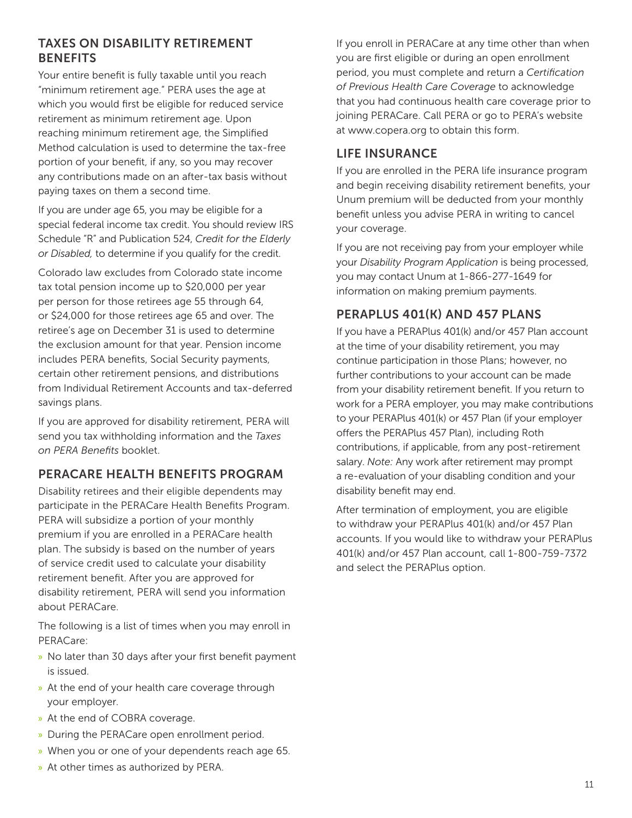### TAXES ON DISABILITY RETIREMENT **BENEFITS**

Your entire benefit is fully taxable until you reach "minimum retirement age." PERA uses the age at which you would first be eligible for reduced service retirement as minimum retirement age. Upon reaching minimum retirement age, the Simplified Method calculation is used to determine the tax-free portion of your benefit, if any, so you may recover any contributions made on an after-tax basis without paying taxes on them a second time.

If you are under age 65, you may be eligible for a special federal income tax credit. You should review IRS Schedule "R" and Publication 524, *Credit for the Elderly or Disabled,* to determine if you qualify for the credit.

Colorado law excludes from Colorado state income tax total pension income up to \$20,000 per year per person for those retirees age 55 through 64, or \$24,000 for those retirees age 65 and over. The retiree's age on December 31 is used to determine the exclusion amount for that year. Pension income includes PERA benefits, Social Security payments, certain other retirement pensions, and distributions from Individual Retirement Accounts and tax-deferred savings plans.

If you are approved for disability retirement, PERA will send you tax withholding information and the *Taxes on PERA Benefits* booklet.

### PERACARE HEALTH BENEFITS PROGRAM

Disability retirees and their eligible dependents may participate in the PERACare Health Benefits Program. PERA will subsidize a portion of your monthly premium if you are enrolled in a PERACare health plan. The subsidy is based on the number of years of service credit used to calculate your disability retirement benefit. After you are approved for disability retirement, PERA will send you information about PERACare.

The following is a list of times when you may enroll in PERACare:

- » No later than 30 days after your first benefit payment is issued.
- » At the end of your health care coverage through your employer.
- » At the end of COBRA coverage.
- » During the PERACare open enrollment period.
- » When you or one of your dependents reach age 65.
- » At other times as authorized by PERA.

If you enroll in PERACare at any time other than when you are first eligible or during an open enrollment period, you must complete and return a *Certification of Previous Health Care Coverage* to acknowledge that you had continuous health care coverage prior to joining PERACare. Call PERA or go to PERA's website at www.copera.org to obtain this form.

### LIFE INSURANCE

If you are enrolled in the PERA life insurance program and begin receiving disability retirement benefits, your Unum premium will be deducted from your monthly benefit unless you advise PERA in writing to cancel your coverage.

If you are not receiving pay from your employer while your *Disability Program Application* is being processed, you may contact Unum at 1-866-277-1649 for information on making premium payments.

### PERAPLUS 401(K) AND 457 PLANS

If you have a PERAPlus 401(k) and/or 457 Plan account at the time of your disability retirement, you may continue participation in those Plans; however, no further contributions to your account can be made from your disability retirement benefit. If you return to work for a PERA employer, you may make contributions to your PERAPlus 401(k) or 457 Plan (if your employer offers the PERAPlus 457 Plan), including Roth contributions, if applicable, from any post-retirement salary. *Note:* Any work after retirement may prompt a re-evaluation of your disabling condition and your disability benefit may end.

After termination of employment, you are eligible to withdraw your PERAPlus 401(k) and/or 457 Plan accounts. If you would like to withdraw your PERAPlus 401(k) and/or 457 Plan account, call 1-800-759-7372 and select the PERAPlus option.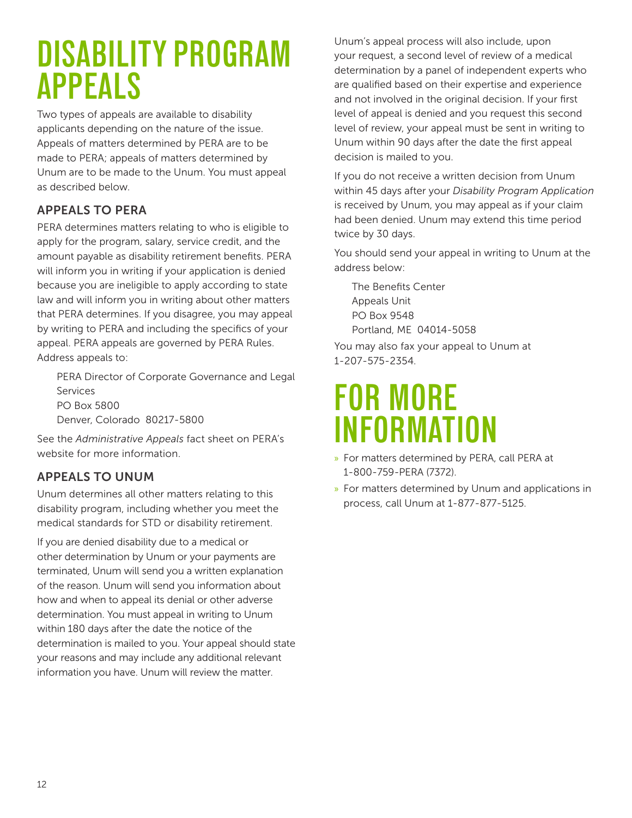## **DISABILITY PROGRAM APPEALS**

Two types of appeals are available to disability applicants depending on the nature of the issue. Appeals of matters determined by PERA are to be made to PERA; appeals of matters determined by Unum are to be made to the Unum. You must appeal as described below.

## APPEALS TO PERA

PERA determines matters relating to who is eligible to apply for the program, salary, service credit, and the amount payable as disability retirement benefits. PERA will inform you in writing if your application is denied because you are ineligible to apply according to state law and will inform you in writing about other matters that PERA determines. If you disagree, you may appeal by writing to PERA and including the specifics of your appeal. PERA appeals are governed by PERA Rules. Address appeals to:

 PERA Director of Corporate Governance and Legal Services PO Box 5800

Denver, Colorado 80217-5800

See the *Administrative Appeals* fact sheet on PERA's website for more information.

## APPEALS TO UNUM

Unum determines all other matters relating to this disability program, including whether you meet the medical standards for STD or disability retirement.

If you are denied disability due to a medical or other determination by Unum or your payments are terminated, Unum will send you a written explanation of the reason. Unum will send you information about how and when to appeal its denial or other adverse determination. You must appeal in writing to Unum within 180 days after the date the notice of the determination is mailed to you. Your appeal should state your reasons and may include any additional relevant information you have. Unum will review the matter.

Unum's appeal process will also include, upon your request, a second level of review of a medical determination by a panel of independent experts who are qualified based on their expertise and experience and not involved in the original decision. If your first level of appeal is denied and you request this second level of review, your appeal must be sent in writing to Unum within 90 days after the date the first appeal decision is mailed to you.

If you do not receive a written decision from Unum within 45 days after your *Disability Program Application* is received by Unum, you may appeal as if your claim had been denied. Unum may extend this time period twice by 30 days.

You should send your appeal in writing to Unum at the address below:

 The Benefits Center Appeals Unit PO Box 9548 Portland, ME 04014-5058

You may also fax your appeal to Unum at 1-207-575-2354.

## **FOR MORE INFORMATION**

- » For matters determined by PERA, call PERA at 1-800-759-PERA (7372).
- » For matters determined by Unum and applications in process, call Unum at 1-877-877-5125.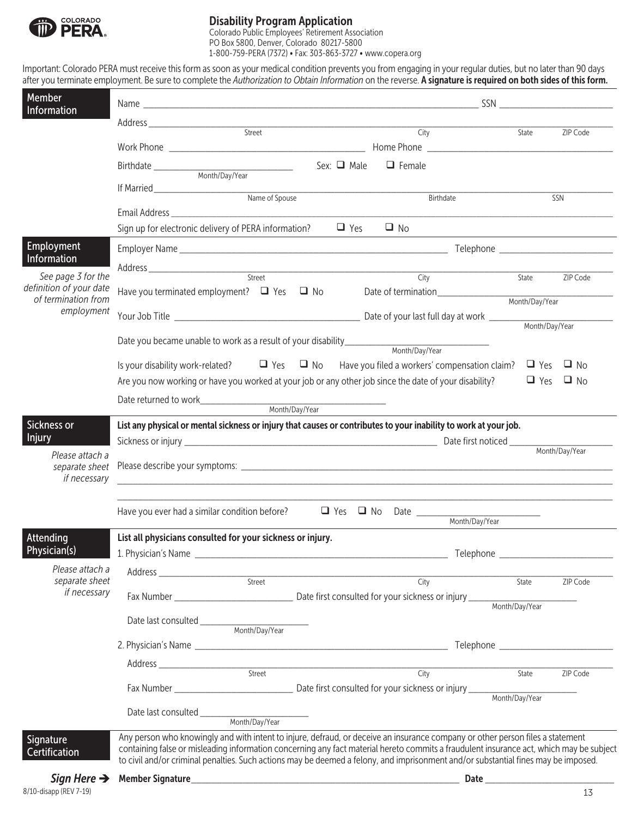

### Disability Program Application

Colorado Public Employees' Retirement Association PO Box 5800, Denver, Colorado 80217-5800 1-800-759-PERA (7372) • Fax: 303-863-3727 • www.copera.org

Important: Colorado PERA must receive this form as soon as your medical condition prevents you from engaging in your regular duties, but no later than 90 days after you terminate employment. Be sure to complete the *Authorization to Obtain Information* on the reverse. A signature is required on both sides of this form.

| Member<br>Information             |                                                                                                                                         |                  |                                    |                 |                      |                |  |
|-----------------------------------|-----------------------------------------------------------------------------------------------------------------------------------------|------------------|------------------------------------|-----------------|----------------------|----------------|--|
|                                   |                                                                                                                                         |                  |                                    |                 |                      |                |  |
|                                   |                                                                                                                                         | Street           | City                               |                 | State                | ZIP Code       |  |
|                                   |                                                                                                                                         |                  |                                    |                 |                      |                |  |
|                                   |                                                                                                                                         | Sex: $\Box$ Male | $\Box$ Female                      |                 |                      |                |  |
|                                   | Month/Day/Year                                                                                                                          |                  |                                    |                 |                      |                |  |
|                                   |                                                                                                                                         |                  |                                    |                 |                      |                |  |
|                                   |                                                                                                                                         |                  | Birthdate                          |                 |                      | SSN            |  |
|                                   |                                                                                                                                         |                  |                                    |                 |                      |                |  |
|                                   | Sign up for electronic delivery of PERA information?                                                                                    |                  | $\Box$ Yes<br>$\Box$ No            |                 |                      |                |  |
| Employment                        |                                                                                                                                         |                  |                                    |                 |                      |                |  |
| Information                       |                                                                                                                                         |                  |                                    |                 |                      |                |  |
| See page 3 for the                |                                                                                                                                         |                  | City                               |                 | State                | ZIP Code       |  |
| definition of your date           | Have you terminated employment? $\Box$ Yes $\Box$ No                                                                                    |                  | Date of termination_______________ |                 |                      |                |  |
| of termination from               |                                                                                                                                         |                  |                                    |                 | Month/Day/Year       |                |  |
| employment                        |                                                                                                                                         |                  |                                    |                 | Month/Day/Year       |                |  |
|                                   |                                                                                                                                         |                  |                                    |                 |                      |                |  |
|                                   | Date you became unable to work as a result of your disability_________                                                                  |                  | Month/Day/Year                     |                 |                      |                |  |
|                                   | Is your disability work-related? $\Box$ Yes $\Box$ No Have you filed a workers' compensation claim? $\Box$ Yes                          |                  |                                    |                 |                      | $\Box$ No      |  |
|                                   |                                                                                                                                         |                  |                                    |                 | $\Box$ Yes $\Box$ No |                |  |
|                                   | Are you now working or have you worked at your job or any other job since the date of your disability?                                  |                  |                                    |                 |                      |                |  |
|                                   |                                                                                                                                         | Month/Day/Year   |                                    |                 |                      |                |  |
|                                   |                                                                                                                                         |                  |                                    |                 |                      |                |  |
| Sickness or<br><b>Injury</b>      | List any physical or mental sickness or injury that causes or contributes to your inability to work at your job.                        |                  |                                    |                 |                      |                |  |
|                                   |                                                                                                                                         |                  |                                    |                 |                      | Month/Day/Year |  |
| Please attach a<br>separate sheet |                                                                                                                                         |                  |                                    |                 |                      |                |  |
| if necessary                      | <u> 1980 - Jan Barbara, martxar a shekara tshirin a shekara ta 1980 haɗa a 1980 haɗa a 1980 haɗa a 1980 haɗa a 19</u>                   |                  |                                    |                 |                      |                |  |
|                                   |                                                                                                                                         |                  |                                    |                 |                      |                |  |
|                                   | Have you ever had a similar condition before?                                                                                           |                  |                                    |                 |                      |                |  |
|                                   |                                                                                                                                         |                  |                                    | _______________ |                      |                |  |
| Attending                         | List all physicians consulted for your sickness or injury.                                                                              |                  |                                    |                 |                      |                |  |
| Physician(s)                      |                                                                                                                                         |                  |                                    |                 |                      |                |  |
| Please attach a                   |                                                                                                                                         |                  |                                    |                 |                      |                |  |
| separate sheet                    |                                                                                                                                         |                  | City                               |                 | State                | ZIP Code       |  |
| if necessary                      |                                                                                                                                         |                  |                                    |                 |                      |                |  |
|                                   |                                                                                                                                         |                  |                                    | Month/Day/Year  |                      |                |  |
|                                   |                                                                                                                                         |                  |                                    |                 |                      |                |  |
|                                   |                                                                                                                                         |                  |                                    |                 |                      |                |  |
|                                   |                                                                                                                                         |                  |                                    |                 |                      |                |  |
|                                   |                                                                                                                                         |                  |                                    |                 |                      |                |  |
|                                   |                                                                                                                                         |                  | City                               |                 | State                | ZIP Code       |  |
|                                   |                                                                                                                                         |                  |                                    | Month/Day/Year  |                      |                |  |
|                                   |                                                                                                                                         |                  |                                    |                 |                      |                |  |
|                                   |                                                                                                                                         |                  |                                    |                 |                      |                |  |
| Signature                         | Any person who knowingly and with intent to injure, defraud, or deceive an insurance company or other person files a statement          |                  |                                    |                 |                      |                |  |
| <b>Certification</b>              | containing false or misleading information concerning any fact material hereto commits a fraudulent insurance act, which may be subject |                  |                                    |                 |                      |                |  |
|                                   | to civil and/or criminal penalties. Such actions may be deemed a felony, and imprisonment and/or substantial fines may be imposed.      |                  |                                    |                 |                      |                |  |
| Sign Here $\rightarrow$           |                                                                                                                                         |                  |                                    |                 |                      |                |  |

8/10-disapp (REV 7-19)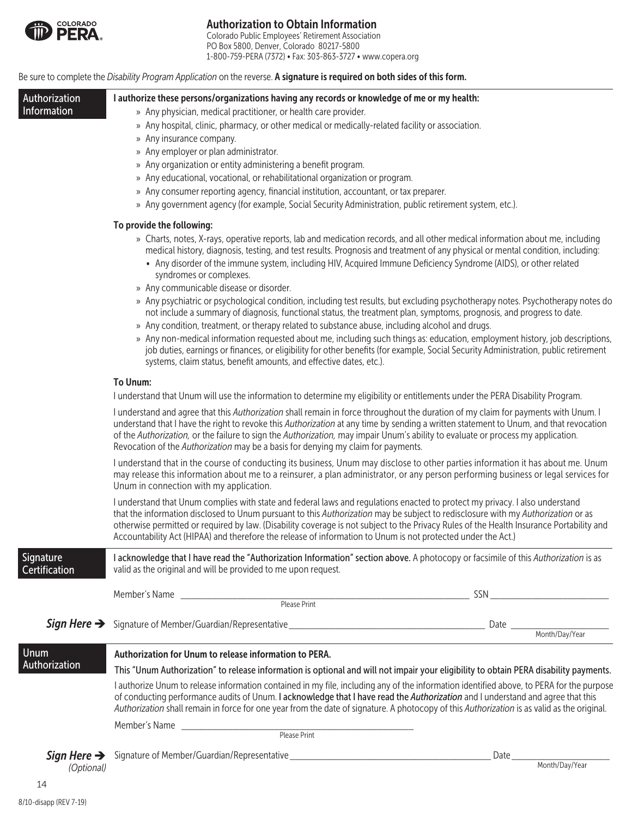

### Authorization to Obtain Information

Colorado Public Employees' Retirement Association PO Box 5800, Denver, Colorado 80217-5800 1-800-759-PERA (7372) • Fax: 303-863-3727 • www.copera.org

#### Be sure to complete the *Disability Program Application* on the reverse. A signature is required on both sides of this form.

| Authorization<br>Information          | I authorize these persons/organizations having any records or knowledge of me or my health:                                                                                                                                                                                                                                                                                                                                                                                                                                  |  |  |  |  |
|---------------------------------------|------------------------------------------------------------------------------------------------------------------------------------------------------------------------------------------------------------------------------------------------------------------------------------------------------------------------------------------------------------------------------------------------------------------------------------------------------------------------------------------------------------------------------|--|--|--|--|
|                                       | » Any physician, medical practitioner, or health care provider.<br>» Any hospital, clinic, pharmacy, or other medical or medically-related facility or association.                                                                                                                                                                                                                                                                                                                                                          |  |  |  |  |
|                                       | » Any insurance company.                                                                                                                                                                                                                                                                                                                                                                                                                                                                                                     |  |  |  |  |
|                                       | » Any employer or plan administrator.                                                                                                                                                                                                                                                                                                                                                                                                                                                                                        |  |  |  |  |
|                                       | » Any organization or entity administering a benefit program.                                                                                                                                                                                                                                                                                                                                                                                                                                                                |  |  |  |  |
|                                       | » Any educational, vocational, or rehabilitational organization or program.<br>» Any consumer reporting agency, financial institution, accountant, or tax preparer.                                                                                                                                                                                                                                                                                                                                                          |  |  |  |  |
|                                       | » Any government agency (for example, Social Security Administration, public retirement system, etc.).                                                                                                                                                                                                                                                                                                                                                                                                                       |  |  |  |  |
|                                       | To provide the following:                                                                                                                                                                                                                                                                                                                                                                                                                                                                                                    |  |  |  |  |
|                                       | » Charts, notes, X-rays, operative reports, lab and medication records, and all other medical information about me, including<br>medical history, diagnosis, testing, and test results. Prognosis and treatment of any physical or mental condition, including:<br>• Any disorder of the immune system, including HIV, Acquired Immune Deficiency Syndrome (AIDS), or other related<br>syndromes or complexes.                                                                                                               |  |  |  |  |
|                                       | » Any communicable disease or disorder.                                                                                                                                                                                                                                                                                                                                                                                                                                                                                      |  |  |  |  |
|                                       | » Any psychiatric or psychological condition, including test results, but excluding psychotherapy notes. Psychotherapy notes do<br>not include a summary of diagnosis, functional status, the treatment plan, symptoms, prognosis, and progress to date.<br>» Any condition, treatment, or therapy related to substance abuse, including alcohol and drugs.                                                                                                                                                                  |  |  |  |  |
|                                       | » Any non-medical information requested about me, including such things as: education, employment history, job descriptions,<br>job duties, earnings or finances, or eligibility for other benefits (for example, Social Security Administration, public retirement<br>systems, claim status, benefit amounts, and effective dates, etc.).                                                                                                                                                                                   |  |  |  |  |
|                                       | To Unum:                                                                                                                                                                                                                                                                                                                                                                                                                                                                                                                     |  |  |  |  |
| <b>Signature</b><br>Certification     | I understand that Unum will use the information to determine my eligibility or entitlements under the PERA Disability Program.                                                                                                                                                                                                                                                                                                                                                                                               |  |  |  |  |
|                                       | I understand and agree that this Authorization shall remain in force throughout the duration of my claim for payments with Unum. I<br>understand that I have the right to revoke this Authorization at any time by sending a written statement to Unum, and that revocation<br>of the Authorization, or the failure to sign the Authorization, may impair Unum's ability to evaluate or process my application.<br>Revocation of the Authorization may be a basis for denying my claim for payments.                         |  |  |  |  |
|                                       | I understand that in the course of conducting its business, Unum may disclose to other parties information it has about me. Unum<br>may release this information about me to a reinsurer, a plan administrator, or any person performing business or legal services for<br>Unum in connection with my application.                                                                                                                                                                                                           |  |  |  |  |
|                                       | I understand that Unum complies with state and federal laws and regulations enacted to protect my privacy. I also understand<br>that the information disclosed to Unum pursuant to this Authorization may be subject to redisclosure with my Authorization or as<br>otherwise permitted or required by law. (Disability coverage is not subject to the Privacy Rules of the Health Insurance Portability and<br>Accountability Act (HIPAA) and therefore the release of information to Unum is not protected under the Act.) |  |  |  |  |
|                                       | I acknowledge that I have read the "Authorization Information" section above. A photocopy or facsimile of this Authorization is as<br>valid as the original and will be provided to me upon request.                                                                                                                                                                                                                                                                                                                         |  |  |  |  |
|                                       |                                                                                                                                                                                                                                                                                                                                                                                                                                                                                                                              |  |  |  |  |
|                                       |                                                                                                                                                                                                                                                                                                                                                                                                                                                                                                                              |  |  |  |  |
|                                       |                                                                                                                                                                                                                                                                                                                                                                                                                                                                                                                              |  |  |  |  |
|                                       |                                                                                                                                                                                                                                                                                                                                                                                                                                                                                                                              |  |  |  |  |
| <b>Unum</b><br>Authorization          | Authorization for Unum to release information to PERA.                                                                                                                                                                                                                                                                                                                                                                                                                                                                       |  |  |  |  |
|                                       | This "Unum Authorization" to release information is optional and will not impair your eligibility to obtain PERA disability payments.                                                                                                                                                                                                                                                                                                                                                                                        |  |  |  |  |
|                                       | I authorize Unum to release information contained in my file, including any of the information identified above, to PERA for the purpose<br>of conducting performance audits of Unum. I acknowledge that I have read the Authorization and I understand and agree that this<br>Authorization shall remain in force for one year from the date of signature. A photocopy of this Authorization is as valid as the original.                                                                                                   |  |  |  |  |
|                                       |                                                                                                                                                                                                                                                                                                                                                                                                                                                                                                                              |  |  |  |  |
|                                       |                                                                                                                                                                                                                                                                                                                                                                                                                                                                                                                              |  |  |  |  |
| Sign Here $\rightarrow$<br>(Optional) |                                                                                                                                                                                                                                                                                                                                                                                                                                                                                                                              |  |  |  |  |
| 14                                    |                                                                                                                                                                                                                                                                                                                                                                                                                                                                                                                              |  |  |  |  |